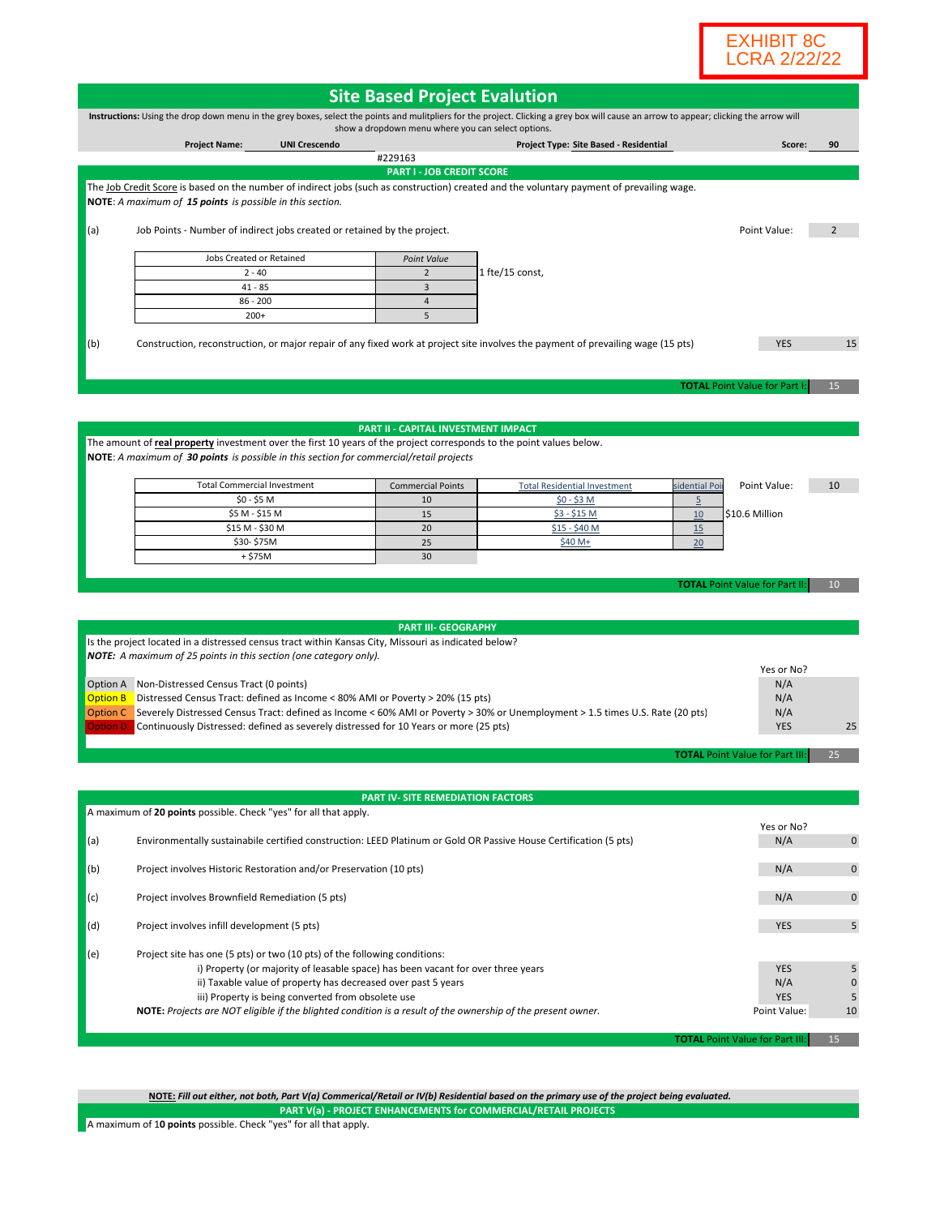

|                                    |                                                                                                                                                                                                                                                                                                                  |                                                                                  | <b>Site Based Project Evalution</b>                                                                                                                                                     |               |                                                           |                             |
|------------------------------------|------------------------------------------------------------------------------------------------------------------------------------------------------------------------------------------------------------------------------------------------------------------------------------------------------------------|----------------------------------------------------------------------------------|-----------------------------------------------------------------------------------------------------------------------------------------------------------------------------------------|---------------|-----------------------------------------------------------|-----------------------------|
|                                    |                                                                                                                                                                                                                                                                                                                  |                                                                                  | Instructions: Using the drop down menu in the grey boxes, select the points and mulitpliers for the project. Clicking a grey box will cause an arrow to appear; clicking the arrow will |               |                                                           |                             |
|                                    |                                                                                                                                                                                                                                                                                                                  | show a dropdown menu where you can select options.                               |                                                                                                                                                                                         |               |                                                           |                             |
|                                    | <b>Project Name:</b><br><b>UNI Crescendo</b>                                                                                                                                                                                                                                                                     | #229163                                                                          | Project Type: Site Based - Residential                                                                                                                                                  |               | Score:                                                    | 90                          |
|                                    |                                                                                                                                                                                                                                                                                                                  | <b>PART I - JOB CREDIT SCORE</b>                                                 |                                                                                                                                                                                         |               |                                                           |                             |
|                                    | NOTE: A maximum of 15 points is possible in this section.                                                                                                                                                                                                                                                        |                                                                                  | The Job Credit Score is based on the number of indirect jobs (such as construction) created and the voluntary payment of prevailing wage.                                               |               |                                                           |                             |
| (a)                                | Job Points - Number of indirect jobs created or retained by the project.                                                                                                                                                                                                                                         |                                                                                  |                                                                                                                                                                                         |               |                                                           |                             |
|                                    | Jobs Created or Retained                                                                                                                                                                                                                                                                                         | Point Value                                                                      |                                                                                                                                                                                         |               |                                                           |                             |
|                                    | $2 - 40$                                                                                                                                                                                                                                                                                                         | $\overline{2}$                                                                   | 1 fte/15 const,                                                                                                                                                                         |               |                                                           |                             |
|                                    | $41 - 85$                                                                                                                                                                                                                                                                                                        | 3                                                                                |                                                                                                                                                                                         |               |                                                           |                             |
|                                    | $86 - 200$<br>$200+$                                                                                                                                                                                                                                                                                             | $\overline{4}$<br>5                                                              |                                                                                                                                                                                         |               |                                                           |                             |
| (b)                                |                                                                                                                                                                                                                                                                                                                  |                                                                                  | Construction, reconstruction, or major repair of any fixed work at project site involves the payment of prevailing wage (15 pts)                                                        |               | <b>YES</b><br><b>TOTAL Point Value for Part I:</b>        | 15<br>15                    |
|                                    | The amount of real property investment over the first 10 years of the project corresponds to the point values below.<br>NOTE: A maximum of 30 points is possible in this section for commercial/retail projects                                                                                                  | PART II - CAPITAL INVESTMENT IMPACT                                              |                                                                                                                                                                                         |               |                                                           |                             |
|                                    | <b>Total Commercial Investment</b>                                                                                                                                                                                                                                                                               | <b>Commercial Points</b>                                                         | <b>Total Residential Investment</b>                                                                                                                                                     | sidential Poi | Point Value:                                              | 10                          |
|                                    | \$0 - \$5 M                                                                                                                                                                                                                                                                                                      | 10                                                                               | $$0 - $3 M$$                                                                                                                                                                            | 5             |                                                           |                             |
|                                    | \$5 M - \$15 M                                                                                                                                                                                                                                                                                                   | 15                                                                               | $$3 - $15$ M                                                                                                                                                                            | 10            | \$10.6 Million                                            |                             |
|                                    | \$15 M - \$30 M                                                                                                                                                                                                                                                                                                  | 20                                                                               | \$15 - \$40 M                                                                                                                                                                           | 15            |                                                           |                             |
|                                    | \$30-\$75M                                                                                                                                                                                                                                                                                                       | 25                                                                               | \$40 M+                                                                                                                                                                                 | 20            |                                                           |                             |
|                                    | $+$ \$75M                                                                                                                                                                                                                                                                                                        | 30                                                                               |                                                                                                                                                                                         |               |                                                           |                             |
|                                    | Is the project located in a distressed census tract within Kansas City, Missouri as indicated below?<br><b>NOTE:</b> A maximum of 25 points in this section (one category only).<br>Option A Non-Distressed Census Tract (0 points)                                                                              | <b>PART III- GEOGRAPHY</b>                                                       |                                                                                                                                                                                         |               | <b>TOTAL Point Value for Part II</b><br>Yes or No?<br>N/A |                             |
| <b>Option B</b><br><b>Option D</b> | Distressed Census Tract: defined as Income < 80% AMI or Poverty > 20% (15 pts)<br>Continuously Distressed: defined as severely distressed for 10 Years or more (25 pts)                                                                                                                                          |                                                                                  | Option C Severely Distressed Census Tract: defined as Income < 60% AMI or Poverty > 30% or Unemployment > 1.5 times U.S. Rate (20 pts)                                                  |               | N/A<br>N/A<br><b>YES</b>                                  | 25                          |
|                                    |                                                                                                                                                                                                                                                                                                                  |                                                                                  |                                                                                                                                                                                         |               | <b>TOTAL Point Value for Part III:</b>                    | 25                          |
|                                    | A maximum of 20 points possible. Check "yes" for all that apply.                                                                                                                                                                                                                                                 | PART IV- SITE REMEDIATION FACTORS                                                |                                                                                                                                                                                         |               |                                                           |                             |
| (a)                                |                                                                                                                                                                                                                                                                                                                  |                                                                                  | Environmentally sustainabile certified construction: LEED Platinum or Gold OR Passive House Certification (5 pts)                                                                       |               | Yes or No?<br>N/A                                         | $\mathbf 0$                 |
|                                    | Project involves Historic Restoration and/or Preservation (10 pts)                                                                                                                                                                                                                                               |                                                                                  |                                                                                                                                                                                         |               | N/A                                                       | $\mathbf 0$                 |
| (b)                                | Project involves Brownfield Remediation (5 pts)                                                                                                                                                                                                                                                                  |                                                                                  |                                                                                                                                                                                         |               | N/A                                                       | $\mathbf 0$                 |
| (c)                                |                                                                                                                                                                                                                                                                                                                  | Project involves infill development (5 pts)                                      |                                                                                                                                                                                         |               | <b>YES</b>                                                | 5                           |
| (d)                                |                                                                                                                                                                                                                                                                                                                  |                                                                                  |                                                                                                                                                                                         |               |                                                           |                             |
| (e)                                | Project site has one (5 pts) or two (10 pts) of the following conditions:<br>ii) Taxable value of property has decreased over past 5 years<br>iii) Property is being converted from obsolete use<br>NOTE: Projects are NOT eligible if the blighted condition is a result of the ownership of the present owner. | i) Property (or majority of leasable space) has been vacant for over three years |                                                                                                                                                                                         |               | <b>YES</b><br>N/A<br><b>YES</b><br>Point Value:           | 5<br>$\mathbf 0$<br>5<br>10 |

**PART V(a) - PROJECT ENHANCEMENTS for COMMERCIAL/RETAIL PROJECTS NOTE:** *Fill out either, not both, Part V(a) Commerical/Retail or IV(b) Residential based on the primary use of the project being evaluated.*

A maximum of 1**0 points** possible. Check "yes" for all that apply.